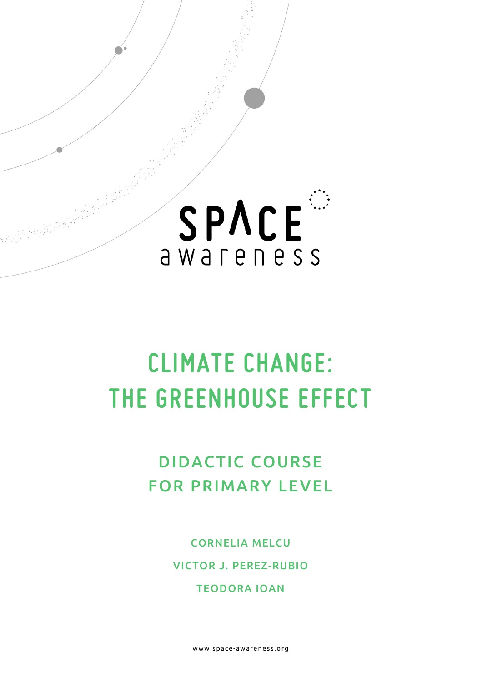

# **CLIMATE CHANGE: THE GREENHOUSE EFFECT**

DIDACTIC COURSE FOR PRIMARY LEVEL

> CORNELIA MELCU VICTOR J. PEREZ-RUBIO TEODORA IOAN

> > www.space- awareness.org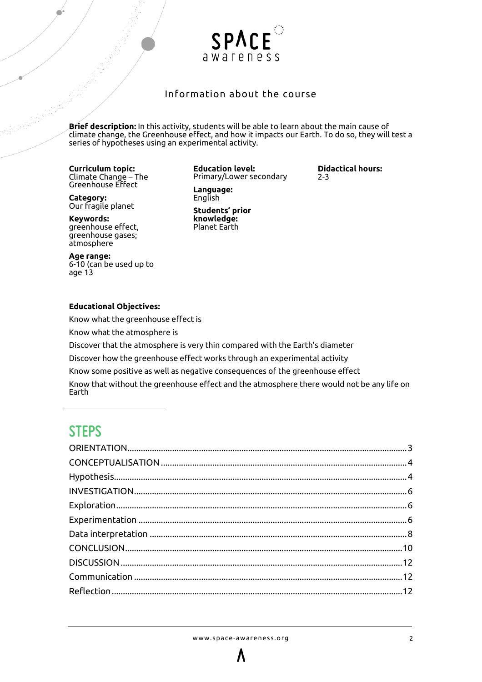

#### Information about the course

**Brief description:** In this activity, students will be able to learn about the main cause of climate change, the Greenhouse effect, and how it impacts our Earth. To do so, they will test a series of hypotheses using an experimental activity.

### **Curriculum topic:**

Climate Change – The Greenhouse Effect

**Category:** Our fragile planet

**Keywords:** greenhouse effect, greenhouse gases; atmosphere

**Age range:** 6-10 (can be used up to age 13

**Education level:** Primary/Lower secondary

**Language:** English

**Students' prior knowledge:** Planet Earth

**Didactical hours:** 2-3

#### **Educational Objectives:**

Know what the greenhouse effect is Know what the atmosphere is Discover that the atmosphere is very thin compared with the Earth's diameter Discover how the greenhouse effect works through an experimental activity Know some positive as well as negative consequences of the greenhouse effect Know that without the greenhouse effect and the atmosphere there would not be any life on Earth

### **STEPS**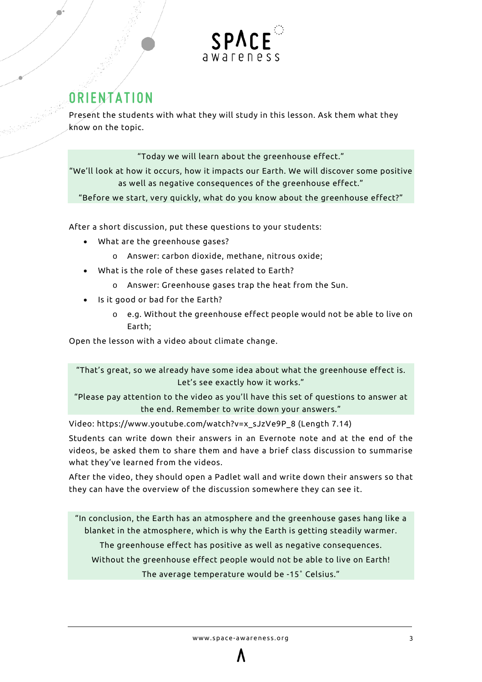

### <span id="page-2-0"></span>**ORIENTATION**

Present the students with what they will study in this lesson. Ask them what they know on the topic.

"Today we will learn about the greenhouse effect."

"We'll look at how it occurs, how it impacts our Earth. We will discover some positive as well as negative consequences of the greenhouse effect."

"Before we start, very quickly, what do you know about the greenhouse effect?"

After a short discussion, put these questions to your students:

- What are the greenhouse gases?
	- o Answer: carbon dioxide, methane, nitrous oxide;
- What is the role of these gases related to Earth?
	- o Answer: Greenhouse gases trap the heat from the Sun.
- Is it good or bad for the Earth?
	- o e.g. Without the greenhouse effect people would not be able to live on Earth;

Open the lesson with a video about climate change.

"That's great, so we already have some idea about what the greenhouse effect is. Let's see exactly how it works."

"Please pay attention to the video as you'll have this set of questions to answer at the end. Remember to write down your answers."

Video: https://www.youtube.com/watch?v=x\_sJzVe9P\_8 (Length 7.14)

Students can write down their answers in an Evernote note and at the end of the videos, be asked them to share them and have a brief class discussion to summarise what they've learned from the videos.

After the video, they should open a Padlet wall and write down their answers so that they can have the overview of the discussion somewhere they can see it.

"In conclusion, the Earth has an atmosphere and the greenhouse gases hang like a blanket in the atmosphere, which is why the Earth is getting steadily warmer.

The greenhouse effect has positive as well as negative consequences.

Without the greenhouse effect people would not be able to live on Earth!

The average temperature would be -15˚ Celsius."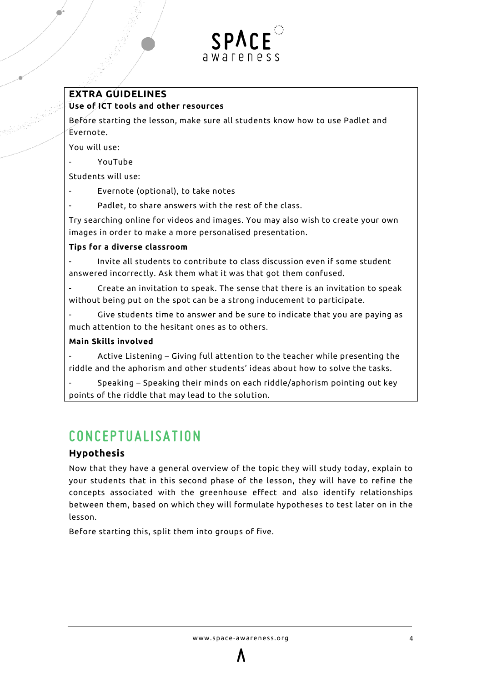## SPACE awareness

#### **EXTRA GUIDELINES**

#### **Use of ICT tools and other resources**

Before starting the lesson, make sure all students know how to use Padlet and Evernote.

You will use:

- YouTube

Students will use:

- Evernote (optional), to take notes
- Padlet, to share answers with the rest of the class.

Try searching online for videos and images. You may also wish to create your own images in order to make a more personalised presentation.

#### **Tips for a diverse classroom**

Invite all students to contribute to class discussion even if some student answered incorrectly. Ask them what it was that got them confused.

Create an invitation to speak. The sense that there is an invitation to speak without being put on the spot can be a strong inducement to participate.

Give students time to answer and be sure to indicate that you are paying as much attention to the hesitant ones as to others.

#### **Main Skills involved**

Active Listening - Giving full attention to the teacher while presenting the riddle and the aphorism and other students' ideas about how to solve the tasks.

- Speaking – Speaking their minds on each riddle/aphorism pointing out key points of the riddle that may lead to the solution.

### <span id="page-3-0"></span>**CONCEPTUALISATION**

#### <span id="page-3-1"></span>**Hypothesis**

Now that they have a general overview of the topic they will study today, explain to your students that in this second phase of the lesson, they will have to refine the concepts associated with the greenhouse effect and also identify relationships between them, based on which they will formulate hypotheses to test later on in the lesson.

Before starting this, split them into groups of five.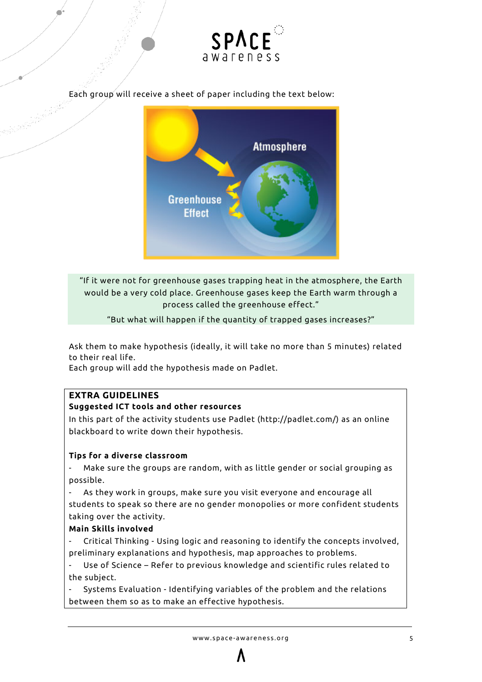

Each group will receive a sheet of paper including the text below:



"If it were not for greenhouse gases trapping heat in the atmosphere, the Earth would be a very cold place. Greenhouse gases keep the Earth warm through a process called the greenhouse effect."

"But what will happen if the quantity of trapped gases increases?"

Ask them to make hypothesis (ideally, it will take no more than 5 minutes) related to their real life.

Each group will add the hypothesis made on Padlet.

#### **EXTRA GUIDELINES**

#### **Suggested ICT tools and other resources**

In this part of the activity students use Padlet [\(http://padlet.com/\)](http://padlet.com/) as an online blackboard to write down their hypothesis.

#### **Tips for a diverse classroom**

Make sure the groups are random, with as little gender or social grouping as possible.

As they work in groups, make sure you visit everyone and encourage all students to speak so there are no gender monopolies or more confident students taking over the activity.

#### **Main Skills involved**

- Critical Thinking - Using logic and reasoning to identify the concepts involved, preliminary explanations and hypothesis, map approaches to problems.

Use of Science – Refer to previous knowledge and scientific rules related to the subject.

- Systems Evaluation - Identifying variables of the problem and the relations between them so as to make an effective hypothesis.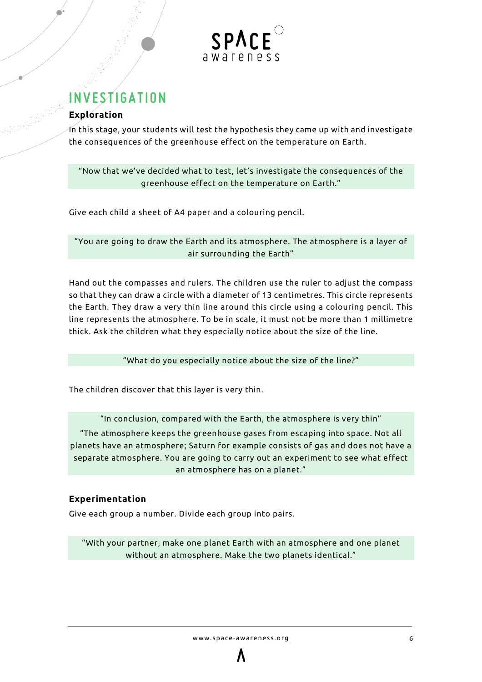

### <span id="page-5-0"></span>**INVESTIGATION**

#### <span id="page-5-1"></span>**Exploration**

In this stage, your students will test the hypothesis they came up with and investigate the consequences of the greenhouse effect on the temperature on Earth.

"Now that we've decided what to test, let's investigate the consequences of the greenhouse effect on the temperature on Earth."

Give each child a sheet of A4 paper and a colouring pencil.

"You are going to draw the Earth and its atmosphere. The atmosphere is a layer of air surrounding the Earth"

Hand out the compasses and rulers. The children use the ruler to adjust the compass so that they can draw a circle with a diameter of 13 centimetres. This circle represents the Earth. They draw a very thin line around this circle using a colouring pencil. This line represents the atmosphere. To be in scale, it must not be more than 1 millimetre thick. Ask the children what they especially notice about the size of the line.

"What do you especially notice about the size of the line?"

The children discover that this layer is very thin.

"In conclusion, compared with the Earth, the atmosphere is very thin"

"The atmosphere keeps the greenhouse gases from escaping into space. Not all planets have an atmosphere; Saturn for example consists of gas and does not have a separate atmosphere. You are going to carry out an experiment to see what effect an atmosphere has on a planet."

#### <span id="page-5-2"></span>**Experimentation**

Give each group a number. Divide each group into pairs.

"With your partner, make one planet Earth with an atmosphere and one planet without an atmosphere. Make the two planets identical."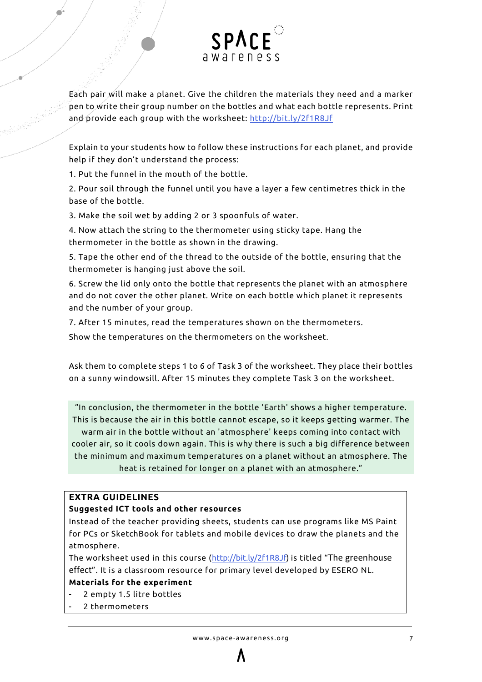

Each pair will make a planet. Give the children the materials they need and a marker pen to write their group number on the bottles and what each bottle represents. Print and provide each group with the worksheet:<http://bit.ly/2f1R8Jf>

Explain to your students how to follow these instructions for each planet, and provide help if they don't understand the process:

1. Put the funnel in the mouth of the bottle.

2. Pour soil through the funnel until you have a layer a few centimetres thick in the base of the bottle.

3. Make the soil wet by adding 2 or 3 spoonfuls of water.

4. Now attach the string to the thermometer using sticky tape. Hang the thermometer in the bottle as shown in the drawing.

5. Tape the other end of the thread to the outside of the bottle, ensuring that the thermometer is hanging just above the soil.

6. Screw the lid only onto the bottle that represents the planet with an atmosphere and do not cover the other planet. Write on each bottle which planet it represents and the number of your group.

7. After 15 minutes, read the temperatures shown on the thermometers.

Show the temperatures on the thermometers on the worksheet.

Ask them to complete steps 1 to 6 of Task 3 of the worksheet. They place their bottles on a sunny windowsill. After 15 minutes they complete Task 3 on the worksheet.

"In conclusion, the thermometer in the bottle 'Earth' shows a higher temperature. This is because the air in this bottle cannot escape, so it keeps getting warmer. The warm air in the bottle without an 'atmosphere' keeps coming into contact with cooler air, so it cools down again. This is why there is such a big difference between the minimum and maximum temperatures on a planet without an atmosphere. The heat is retained for longer on a planet with an atmosphere."

#### **EXTRA GUIDELINES**

#### **Suggested ICT tools and other resources**

Instead of the teacher providing sheets, students can use programs like MS Paint for PCs or SketchBook for tablets and mobile devices to draw the planets and the atmosphere.

The worksheet used in this course [\(http://bit.ly/2f1R8Jf\)](http://bit.ly/2f1R8Jf) is titled "The greenhouse effect". It is a classroom resource for primary level developed by ESERO NL. **Materials for the experiment**

- 2 empty 1.5 litre bottles
- 2 thermometers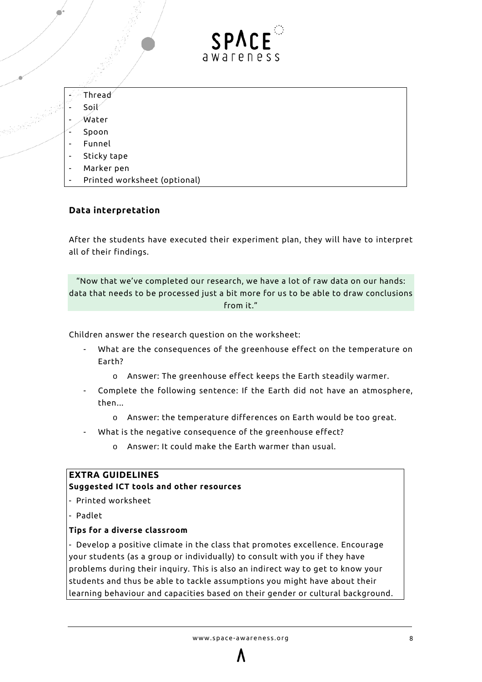

- Thread
- Soil
- Water
- Spoon
- Funnel
- Sticky tape
- Marker pen
- Printed worksheet (optional)

#### <span id="page-7-0"></span>**Data interpretation**

After the students have executed their experiment plan, they will have to interpret all of their findings.

"Now that we've completed our research, we have a lot of raw data on our hands: data that needs to be processed just a bit more for us to be able to draw conclusions from it."

Children answer the research question on the worksheet:

- What are the consequences of the greenhouse effect on the temperature on Earth?
	- o Answer: The greenhouse effect keeps the Earth steadily warmer.
- Complete the following sentence: If the Earth did not have an atmosphere, then...
	- o Answer: the temperature differences on Earth would be too great.
- What is the negative consequence of the greenhouse effect?
	- o Answer: It could make the Earth warmer than usual.

#### **EXTRA GUIDELINES**

#### **Suggested ICT tools and other resources**

- Printed worksheet
- Padlet

#### **Tips for a diverse classroom**

- Develop a positive climate in the class that promotes excellence. Encourage your students (as a group or individually) to consult with you if they have problems during their inquiry. This is also an indirect way to get to know your students and thus be able to tackle assumptions you might have about their learning behaviour and capacities based on their gender or cultural background.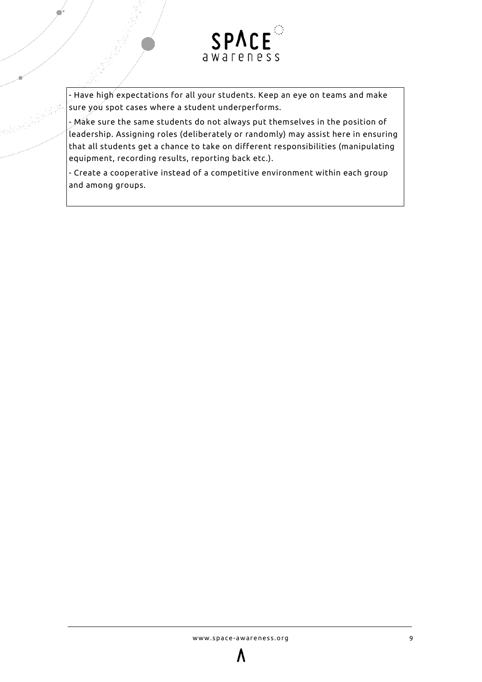

 $\epsilon$  Have high expectations for all your students. Keep an eye on teams and make sure you spot cases where a student underperforms.

- Make sure the same students do not always put themselves in the position of leadership. Assigning roles (deliberately or randomly) may assist here in ensuring that all students get a chance to take on different responsibilities (manipulating equipment, recording results, reporting back etc.).

- Create a cooperative instead of a competitive environment within each group and among groups.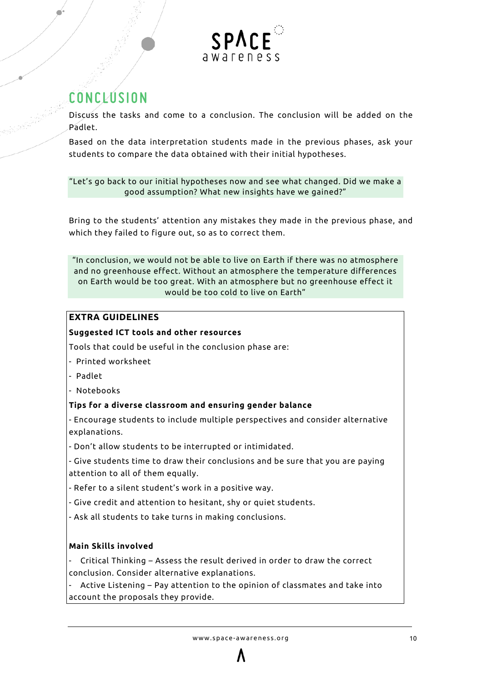

### <span id="page-9-0"></span>**CONCLUSION**

Discuss the tasks and come to a conclusion. The conclusion will be added on the Padlet.

Based on the data interpretation students made in the previous phases, ask your students to compare the data obtained with their initial hypotheses.

"Let's go back to our initial hypotheses now and see what changed. Did we make a good assumption? What new insights have we gained?"

Bring to the students' attention any mistakes they made in the previous phase, and which they failed to figure out, so as to correct them.

"In conclusion, we would not be able to live on Earth if there was no atmosphere and no greenhouse effect. Without an atmosphere the temperature differences on Earth would be too great. With an atmosphere but no greenhouse effect it would be too cold to live on Earth"

#### **EXTRA GUIDELINES**

#### **Suggested ICT tools and other resources**

Tools that could be useful in the conclusion phase are:

- Printed worksheet
- Padlet
- Notebooks

#### **Tips for a diverse classroom and ensuring gender balance**

- Encourage students to include multiple perspectives and consider alternative explanations.

- Don't allow students to be interrupted or intimidated.

- Give students time to draw their conclusions and be sure that you are paying attention to all of them equally.

- Refer to a silent student's work in a positive way.

- Give credit and attention to hesitant, shy or quiet students.

- Ask all students to take turns in making conclusions.

#### **Main Skills involved**

- Critical Thinking – Assess the result derived in order to draw the correct conclusion. Consider alternative explanations.

- Active Listening – Pay attention to the opinion of classmates and take into account the proposals they provide.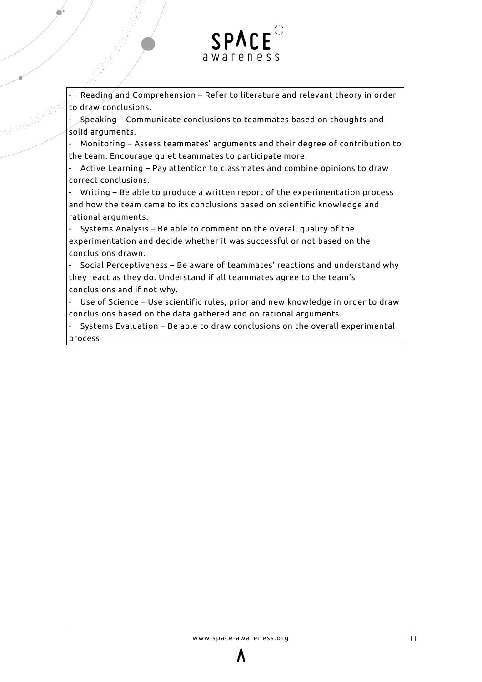

- Reading and Comprehension – Refer to literature and relevant theory in order to draw conclusions.

- Speaking – Communicate conclusions to teammates based on thoughts and solid arguments.

- Monitoring – Assess teammates' arguments and their degree of contribution to the team. Encourage quiet teammates to participate more.

- Active Learning – Pay attention to classmates and combine opinions to draw correct conclusions.

- Writing – Be able to produce a written report of the experimentation process and how the team came to its conclusions based on scientific knowledge and rational arguments.

- Systems Analysis – Be able to comment on the overall quality of the experimentation and decide whether it was successful or not based on the conclusions drawn.

- Social Perceptiveness – Be aware of teammates' reactions and understand why they react as they do. Understand if all teammates agree to the team's conclusions and if not why.

- Use of Science – Use scientific rules, prior and new knowledge in order to draw conclusions based on the data gathered and on rational arguments.

- Systems Evaluation – Be able to draw conclusions on the overall experimental process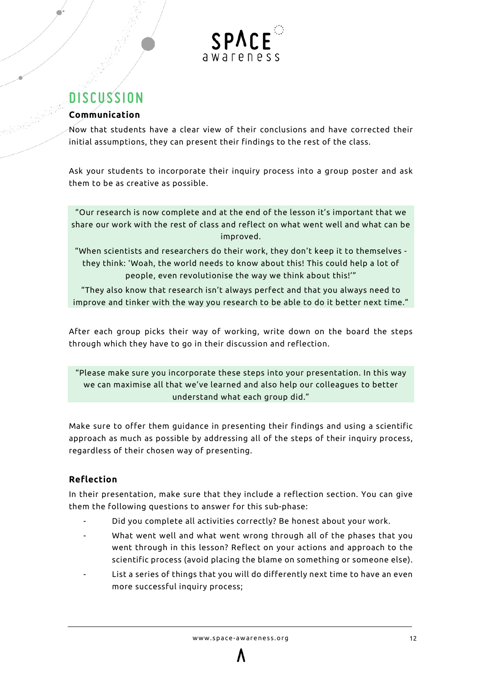

### <span id="page-11-0"></span>**DISCUSSION**

#### <span id="page-11-1"></span>**Communication**

Now that students have a clear view of their conclusions and have corrected their initial assumptions, they can present their findings to the rest of the class.

Ask your students to incorporate their inquiry process into a group poster and ask them to be as creative as possible.

"Our research is now complete and at the end of the lesson it's important that we share our work with the rest of class and reflect on what went well and what can be improved.

"When scientists and researchers do their work, they don't keep it to themselves they think: 'Woah, the world needs to know about this! This could help a lot of people, even revolutionise the way we think about this!'"

"They also know that research isn't always perfect and that you always need to improve and tinker with the way you research to be able to do it better next time."

After each group picks their way of working, write down on the board the steps through which they have to go in their discussion and reflection.

"Please make sure you incorporate these steps into your presentation. In this way we can maximise all that we've learned and also help our colleagues to better understand what each group did."

Make sure to offer them guidance in presenting their findings and using a scientific approach as much as possible by addressing all of the steps of their inquiry process, regardless of their chosen way of presenting.

#### <span id="page-11-2"></span>**Reflection**

In their presentation, make sure that they include a reflection section. You can give them the following questions to answer for this sub-phase:

- Did you complete all activities correctly? Be honest about your work.
- What went well and what went wrong through all of the phases that you went through in this lesson? Reflect on your actions and approach to the scientific process (avoid placing the blame on something or someone else).
- List a series of things that you will do differently next time to have an even more successful inquiry process;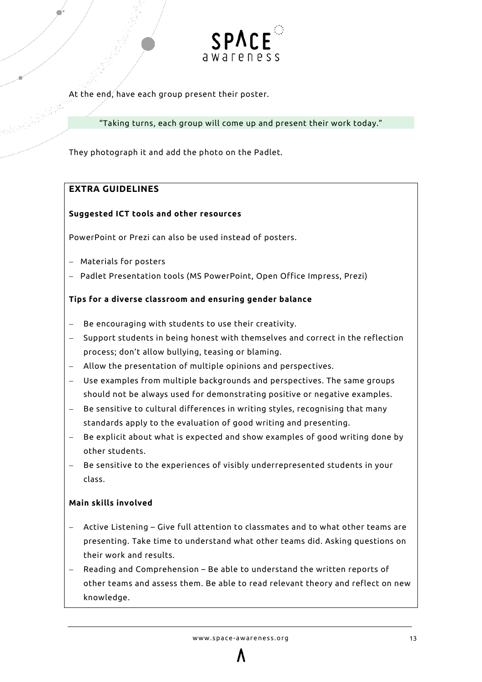

At the end, have each group present their poster.

"Taking turns, each group will come up and present their work today."

They photograph it and add the photo on the Padlet.

#### **EXTRA GUIDELINES**

#### **Suggested ICT tools and other resources**

PowerPoint or Prezi can also be used instead of posters.

- − Materials for posters
- − Padlet Presentation tools (MS PowerPoint, Open Office Impress, Prezi)

#### **Tips for a diverse classroom and ensuring gender balance**

- − Be encouraging with students to use their creativity.
- Support students in being honest with themselves and correct in the reflection process; don't allow bullying, teasing or blaming.
- − Allow the presentation of multiple opinions and perspectives.
- Use examples from multiple backgrounds and perspectives. The same groups should not be always used for demonstrating positive or negative examples.
- Be sensitive to cultural differences in writing styles, recognising that many standards apply to the evaluation of good writing and presenting.
- − Be explicit about what is expected and show examples of good writing done by other students.
- Be sensitive to the experiences of visibly underrepresented students in your class.

#### **Main skills involved**

- − Active Listening Give full attention to classmates and to what other teams are presenting. Take time to understand what other teams did. Asking questions on their work and results.
- Reading and Comprehension Be able to understand the written reports of other teams and assess them. Be able to read relevant theory and reflect on new knowledge.